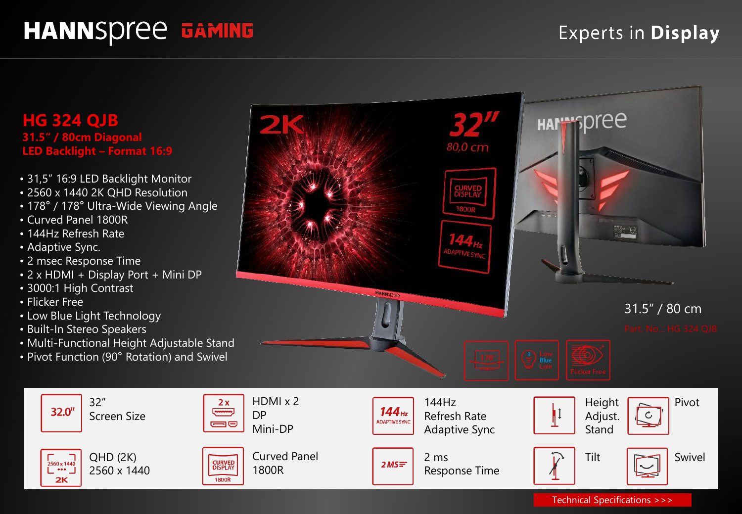# **HANNSPree GAMING**

#### **Experts in Display**

**HG 324 QJB 31.5" / 80cm Diagonal LED Backlight – Format 16:9**

- 31,5" 16:9 LED Backlight Monitor
- 2560 x 1440 2K QHD Resolution
- 178° / 178° Ultra-Wide Viewing Angle
- Curved Panel 1800R
- 144Hz Refresh Rate
- Adaptive Sync.
- 2 msec Response Time
- 2 x HDMI + Display Port + Mini DP
- 3000:1 High Contrast
- Flicker Free

32.0"

 $\sqrt{2560 \times 1440}$ 

 $\overline{\phantom{a}}$   $\cdots$   $\overline{\phantom{a}}$ 

2K

• Low Blue Light Technology

32"

- Built-In Stereo Speakers
- Multi-Functional Height Adjustable Stand
- Pivot Function (90° Rotation) and Swivel